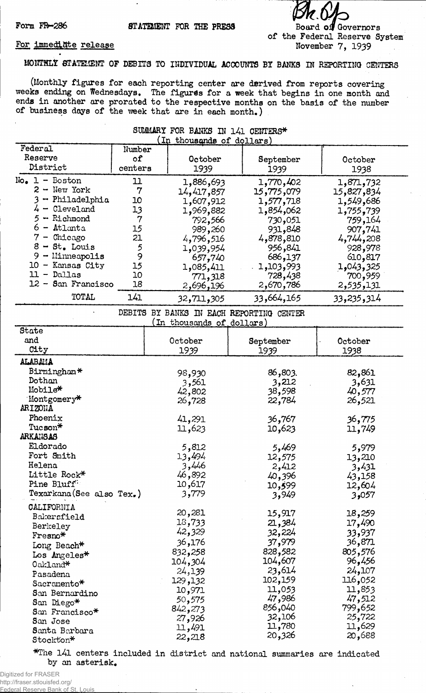Form FR-286 **STATEMENT** FOR THE PRESS

**Board oif Governors of the Federal Reserve System November 7, 1939**

**20,326 20,688**

## **For immediate release**

**MONTHLY STATEMENT OF DEBITS TO INDIVIDUAL ACCOUNTS BI BANKS IN REPORTING CENTERS**

**(Monthly figures for each reporting center are derived from reports covering weeks ending on Wednesdays. The figures for a week that begins in one month and ends in another are prorated to the respective months on the basis of the number of business days of the ■week that are in each month.)**

## **SUMMARY FOR BANKS IN l4l CENTERS\* Federal Number f-19.15 f-19.15 f-19.15 f-19.15 f-19.15 f-19.15 f-19.15 f-19.15 f-19.15 f-19.15 f-19.15 f-19.15 f-19.15 f-19.15 f-19.15 f-19.15 f-19.15 f-19.15 f-19.15 f-19.15 f-Reserve of October September October District centers 1939 1939 1938 No, 1 - Boston 11**  $2 -$  New York **3 ~ Philadelphia 10 4 - Cleveland 13** 5 **-** Richmond 7<br>6 - Atlanta 15 **6 - Atlanta 15 7 ~ Chicago 21 8 - St, Louis 5 9 — Llinneapolis 9 10 - Kansas City 15 11 - Dallas 10** 12 - San Francisco **1,886,693 14,417,857 1,607,912 1,969,882 792,566 989,260 4,796,516 1,039,954 657,740 1,085,411 771,318 2,696,196 1,770,402 15,775,079 1,577,718 1,854,062 730,051 931,848 4,878,810 956,841 686,137 . 1,103,993 728,438 2,670,786 1,871,732 15,827,834 1,549,686 1,755,739 759,164 907,741 4,744,208 928,978 610,817 1,043,325 700,959 2,535,131 TOTAL 141 32,711,305 33,664,165 33,235,314 DEBITS BY BANKS IN EACH REPORTING CENTER (In thousands of dollars) State and October September October City 1939 1939 1938 ALABAMA Birmingham\* Dothan Mobiles\* Montgomery\* ARIZONA Phoenix Tucson\* ARKANSAS Eldorado Fort Smith Helena Little Rock\* Pine Bluff: Texarkana(See also Tex.) CALIFORNIA Bakersfield Berkeley Fresno\* Long Beach\* Los Angeles\* Oakland\* Pasadena Sacrcmento\* San Bernardino San Diego\* San Francisco\* San Jose 93,930 3,561 42,802 26,728 41,291 11,623 5,812 13,494 3,446 46,892 10,617 3,779 20,281 13,733 42,329 36,176 832,258 104,304 24,139 129,132 10,971 50,575 842,273 27,926 11,491 86,803. 82,861 3,212 3,631 38,598 40,577 22,784 26,521 36,767 36,775 10,623 11,749 5,469 5,979 12,575 13,210 2,412 3,431 40,396 43,158 10,599 12,604 3,949 3,057 15,917 18,259 21,384 17,490 32,224 33,937 37,979 36,871 828,582 805,576 104,607 96,456 23,614 24,107 102,159 116,052 11,053 11,853 47,986 47,512 856,040 799,652 32,106 25,722 11,780 11,629**

**\*The 141 centers included in district and national summaries are indicated by an asterisk.**

**22,218**

**Santa Barbara Stoclct'on\***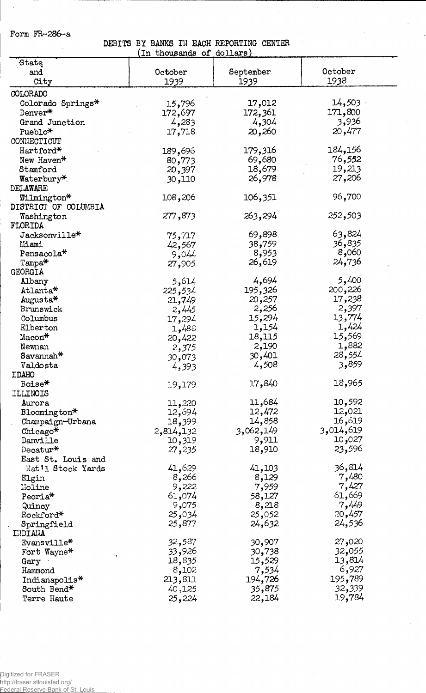Form FR-286-a

 $\bar{\beta}$ 

<u>anglici pro</u>

## DEBITS BY BANKS IN EACH REPORTING CENTER<br>(In thousands of dollars)

 $\bar{\beta}$ 

 $\ddot{\phantom{1}}$ 

|                        | بمقطب<br>uluupaliup<br><u>u.</u> | $u$          |           |
|------------------------|----------------------------------|--------------|-----------|
| State                  |                                  |              |           |
| and                    | October                          | September    | October   |
| City                   | 1939                             | <u> 1939</u> | 1938      |
| COLORADO               |                                  |              |           |
|                        |                                  | 17,012       | 14,503    |
| Colorado Springs*      | 15,796                           |              |           |
| Denver*                | 172,697                          | 172,361      | 171,800   |
| Grand Junction         | 4,283                            | 4,304        | 3,936     |
| Pueblo*                | 17,718                           | 20,260       | 20,477    |
| CONNECTICUT            |                                  |              |           |
| Hartford*              | 189,696                          | 179,316      | 184,156   |
| New Haven*             | 80,773                           | 69,680       | 76,552    |
| Stamford               | 20,397                           | 18,679       | 19,213    |
| Waterbury*             | 30,110                           | 26,978       | 27,206    |
| DELAWARE               |                                  |              |           |
|                        |                                  |              |           |
| Wilmington*            | 108,206                          | 106,351      | 96,700    |
| DISTRICT OF COLUMBIA   |                                  |              |           |
| Washington             | 277,873                          | 263,294      | 252,503   |
| FLORIDA                |                                  |              |           |
| Jacksonville*          | 75,717                           | 69,898       | 63,824    |
| Miami                  | 42,567                           | 759,38       | 36,835    |
| Pensacola <sup>*</sup> | 9,044                            | 8,953        | 8,060     |
| $Tampa*$               | 27,905                           | 26,619       | 24,736    |
| GEORGIA                |                                  |              |           |
| Albany                 | 5,614                            | 4,694        | 5,400     |
|                        |                                  |              | 200,226   |
| $\texttt{Atlanta*}$    | 225,534                          | 195,326      |           |
| Augusta*               | 21,749                           | 20,257       | 17,238    |
| Brunswick              | 2,445                            | 2,256        | 2,397     |
| Columbus               | 17,294                           | 15,294       | 13,774    |
| Elberton               | 1,488                            | 1,154        | 1,424     |
| Macon*                 | 20,422                           | 18,115       | 15,569    |
| Newnan                 | 2,375                            | 2,190        | 1,882     |
| Savannah <sup>*</sup>  | 30,073                           | 30,401       | 28,554    |
| Valdosta               | 4,393                            | 4,508        | 3,859     |
| <b>IDAHO</b>           |                                  |              |           |
| Boise*                 | 19,179                           | 17,840       | 18,965    |
| ILLINOIS               |                                  |              |           |
|                        |                                  | 11,684       | 10,592    |
| Aurora                 | 11,220                           |              |           |
| Bloomington*           | 12,694                           | 12,472       | 12,021    |
| Champaign-Urbana       | 18,399                           | 14,858       | 16,619    |
| Chicago*               | 2,814,132                        | 3,062,149    | 3,014,619 |
| Danville               | 10,319                           | 9,911        | 027و 10   |
| Decatur*               | 27,235                           | 18,910       | 23,596    |
| East St. Louis and     |                                  |              |           |
| Nat'l Stock Yards      | 41,629                           | 41,103       | 36,814    |
| Elgin                  | 8,266                            | 8,129        | 7,480     |
| Moline                 | 9,222                            | 7,959        | 7,427     |
| Peoria*                | 61,074                           | 58,127       | 61,669    |
|                        | 9,075                            | 8,218        | 7,449     |
| Quincy                 |                                  |              | 20,457    |
| Rockford*              | 25,034                           | 25,052       |           |
| Springfield            | 25,877                           | 24,632       | 24,536    |
| INDIANA                |                                  |              |           |
| Evansville*            | 32,587                           | 30,907       | 27,020    |
| Fort Wayne*            | 33,926                           | 30,738       | 32,055    |
| Gary                   | 18,835                           | 15,529       | 13,814    |
| Hammond                | 8,102                            | 7,534        | 6,927     |
| Indianapolis*          | 213,811                          | 194,726      | 195,789   |
| South Bend*            | 40,125                           | 35,875       | 32,339    |
| Terre Haute            | 25,224                           | 22,184       | 19,784    |
|                        |                                  |              |           |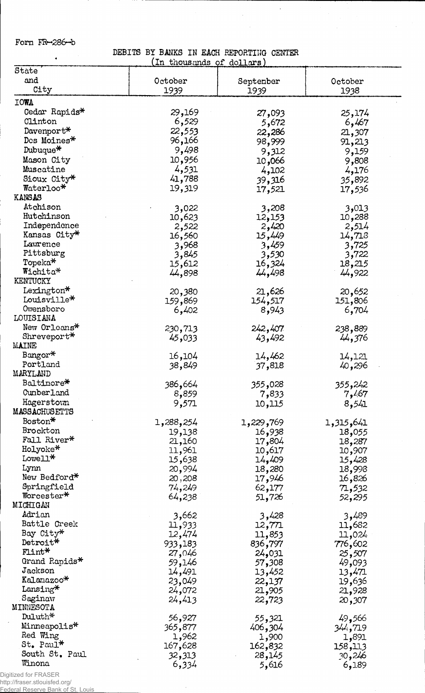Form  $FR-286-b$ 

 $\bullet$ 

DEBITS BY BANKS IN EACH REPORTING CENTER<br>(In thousands of dollars)

 $\bar{z}$ 

 $\mathcal{A}^{\mathcal{A}}$ 

| State                        |           |           |           |
|------------------------------|-----------|-----------|-----------|
| and                          | October   | September | October   |
| City                         | 1939      | 1939      | 1938      |
|                              |           |           |           |
| <b>IOWA</b>                  |           |           |           |
| Cedar Rapids*                | 29,169    | 27,093    | 25,174    |
| Clinton                      | 6,529     | 5,672     | 6,467     |
| Davenport*                   | 22,553    | 22,286    | 21,307    |
| Des Moines*                  | 96,166    | 98,999    | 91,213    |
| Dubuque*                     | 9,498     | 9,312     | 9,159     |
| Mason City                   | 10,956    | 066, 10   | 9,808     |
| Muscatine                    | 4,531     | 4,102     | 4,176     |
| Sioux City*                  | 41,788    | 39,316    | 35,892    |
| Waterloo*                    | 19,319    | 17,521    | 17,536    |
| <b>KANSAS</b>                |           |           |           |
| Atchison                     | 3,022     | 3,208     | 3,013     |
| Hutchinson                   | 10,623    | 12,153    | 10,288    |
| Independence                 | 2,522     | 2,420     | 2,514     |
| Kansas City*                 | 16,560    | 15,449    |           |
| Lawrence                     |           |           | 14,718    |
| Pittsburg                    | 3,968     | 3,459     | 3,725     |
| Topeka*                      | 3,845     | 3,530     | 3,722     |
| Wichita*                     | 15,612    | 16,324    | 18,215    |
| KENTUCKY                     | 44,898    | 44,498    | 44,922    |
|                              |           |           |           |
| Lexington*                   | 20,380    | 21,626    | 20,652    |
| Louisville*                  | 159,869   | 154,517   | 151,806   |
| Owensboro                    | 6,402     | 8,943     | 6,704     |
| LOUISIANA                    |           |           |           |
| New Orleans*                 | 230,713   | 242,407   | 238,889   |
| Shreveport*                  | 45,033    | 43,492    | 44,376    |
| <b>MAINE</b>                 |           |           |           |
| Bangor*                      | 16,104    | 14,462    | 14,121    |
| Portland                     | 38,849    | 37,818    | 40,296    |
| MARYLAND                     |           |           |           |
| Baltimore*                   | 386,664   | 355,028   | 355,242   |
| Cunberland                   | 8,859     | 7,833     | 7,467     |
| Hagerstown                   | 9,571     | 10,115    | 8,541     |
| MASSACHUSETTS                |           |           |           |
| Boston*                      | 1,288,254 | 1,229,769 | 1,315,641 |
| Brockton                     | 19,138    | 16,938    | 18,055    |
| Fall River*                  | 21,160    | 17,804    | 18,287    |
| Holyoke*                     | 11,961    | 10,617    | 10,907    |
| Lowell*                      |           |           |           |
| Lynn                         | 15,638    | 14,409    | 15,428    |
| New Bedford*                 | 20,994    | 18,280    | 18,998    |
|                              | 20,208    | 17,946    | 16,826    |
| Springfield<br>Worcester*    | 74,249    | 62,177    | 71,532    |
|                              | 64,238    | 51,726    | 52,295    |
| MICHIGAN                     |           |           |           |
| Adrian                       | 3,662     | 3,428     | 3,489     |
| Battle Creek                 | 11,933    | 12,771    | 11,682    |
| Bay City*                    | 12,474    | 11,853    | 11,024    |
| Detroit*                     | 933,183   | 836,797   | 776,602   |
| Flint*                       | 27,046    | 24,031    | 25,507    |
| Grand Rapids*                | 59,146    | 57,308    | 49,093    |
| Jackson                      | 14,491    | 13,452    | 13,471    |
| Kalamazoo*                   | 23,049    | 22,137    | 19,636    |
| $\rm{Lang}^{\boldsymbol{*}}$ | 24,072    | 21,905    | 21,928    |
| Saginaw                      | 24,413    | 22,723    | 20,307    |
| MINNESOTA                    |           |           |           |
| Duluth*                      | 56,927    | 55,321    | 49,566    |
| Minneapolis*                 | 365,877   | 406,304   | 344,719   |
| Red Wing                     | 1,962     |           |           |
| $St. Paul*$                  |           | 1,900     | 1,891     |
| South St. Paul               | 167,628   | 162,832   | 158,113   |
| Winona                       | 32,313    | 28,145    | 30,246    |
|                              | 6,334     | 5,616     | 6,189     |

 $\bar{z}$ 

Digitized for FRASER http://fraser.stlouisfed.org/

Federal Reserve Bank of St. Louis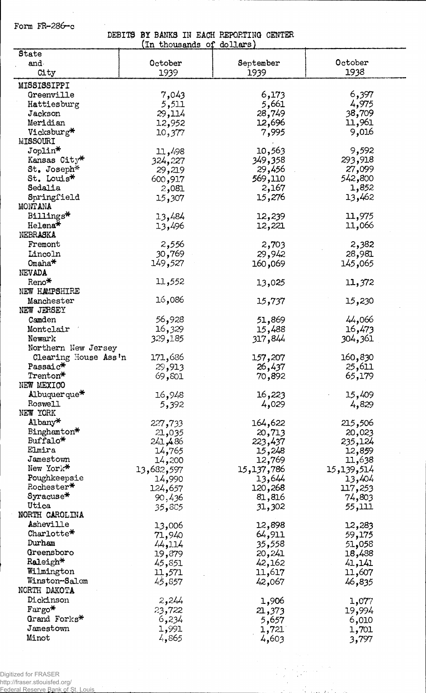Form  $FR-286-c$ 

**DEBITS BY BANKS IN EACH REPORTING CENTER (In thousands oj dollars)**

|                      | (TII ningaime nt | morrano    |            |
|----------------------|------------------|------------|------------|
| State                |                  |            |            |
| and                  | October          | September  | October    |
| City                 | 1939             | 1939       | 1938       |
|                      |                  |            |            |
| MISSISSIPPI          |                  |            |            |
| Greenville           | 7,043            | 6,173      | 6,397      |
| Hattiesburg          | 5,511            | 5,661      | 4,975      |
| Jackson              | 29,114           | 28,749     | 38,709     |
|                      |                  |            |            |
| Meridian             | 12,952           | 12,696     | 11,961     |
| Vicksburg*           | 10,377           | 7,995      | 9,016      |
| <b>MISSOURI</b>      |                  |            |            |
| Joplin*              | 11,498           | 10,563     | 9,592      |
| Kansas City*         |                  | 349,358    | 293,918    |
|                      | 324,227          |            |            |
| St. Joseph*          | 29,219           | 29,456     | 27,099     |
| St. Louis*           | 600,917          | 569,110    | 542,800    |
| Sedalia              | 2,081            | 2,167      | 1,852      |
| Springfield          | 15,307           | 15,276     | 13,462     |
| MONTANA              |                  |            |            |
|                      |                  |            |            |
| Billings*            | 13,484           | 12,239     | 11,975     |
| Helena*              | 13,496           | 12,221     | 11,066     |
| NEBRASKA             |                  |            |            |
| Fremont              | 2,556            | 2,703      | 2,382      |
| Lincoln              | 30,769           | 29,942     | 28,981     |
|                      |                  |            |            |
| Omaha <sup>*</sup>   | 149,527          | 160,069    | 145,065    |
| NEVADA               |                  |            |            |
| Reno*                | 11,552           | 13,025     | 11,372     |
| NEW HAMPSHIRE        |                  |            |            |
| Manchester           | 16,086           | 15,737     | 15,230     |
|                      |                  |            |            |
| NEW JERSEY           |                  |            |            |
| Camden               | 56,928           | 51,869     | 44,066     |
| Montclair            | 16,329           | 15,488     | 16,473     |
| Newark               | 329,185          | 317,844    | 304,361    |
| Northern New Jersey  |                  |            |            |
|                      |                  |            |            |
| Clearing House Ass'n | 171,686          | 157,207    | 160,830    |
| Passaic*             | 29,913           | 26,437     | 25,611     |
| Trenton*             | 69,801           | 70,892     | 65,179     |
| NEW MEXICO           |                  |            |            |
| ید                   |                  |            | 15,409     |
| Albuquer que         | 16,948           | 16,223     |            |
| <b>Roswell</b>       | 5,392            | 4,029      | 4,829      |
| NEW YORK             |                  |            |            |
| Albany*              | 227,733          | 164,622    | 215,506    |
| Binghamton*          | 21,035           | 20,713     | 20,023     |
| Buffalo*             | 241,486          | 223,437    | 235,124    |
| Elmira               |                  |            |            |
|                      | 14,765           | 15,248     | 12,859     |
| Jamestown            | 14,200           | 12,769     | 11,638     |
| New York*            | 13,682,597       | 15,137,786 | 15,139,514 |
| Poughkeepsie         | 14,990           | 13,644     | 13,404     |
| Rochester*           | 124,657          | 120,268    | 117,253    |
| $Syracuse*$          |                  |            |            |
|                      | 90,436           | 81,816     | 74,803     |
| Utica                | 35,885           | 31,302     | 111,55     |
| NORTH CAROLINA       |                  |            |            |
| Asheville            | 13,006           | 12,898     | 12,283     |
| Charlotte*           | 71,940           | 64,911     | 59,175     |
| Durham               |                  |            |            |
|                      | 44,114           | 35,558     | 51,058     |
| Greensboro           | 19,879           | 20,241     | 18,488     |
| $\texttt{Raleigh*}$  | 45,851           | 42,162     | 41,141     |
| Wilmington           | 11,571           | 11,617     | 11,607     |
| Winston-Salem        | 45,857           | 42,067     | 46,835     |
| NORTH DAKOTA         |                  |            |            |
|                      |                  |            |            |
| Dickinson            | 2,244            | 1,906      | 1,077      |
| Fargo*               | 23,722           | 21,373     | 19,994     |
| Grand Forks*         | 6,234            | 5,657      | 6,010      |
| Jamestown            | 1,991            | 1,721      | 1,701      |
| Minot                |                  |            |            |
|                      | 4,865            | 4,603      | 3,797      |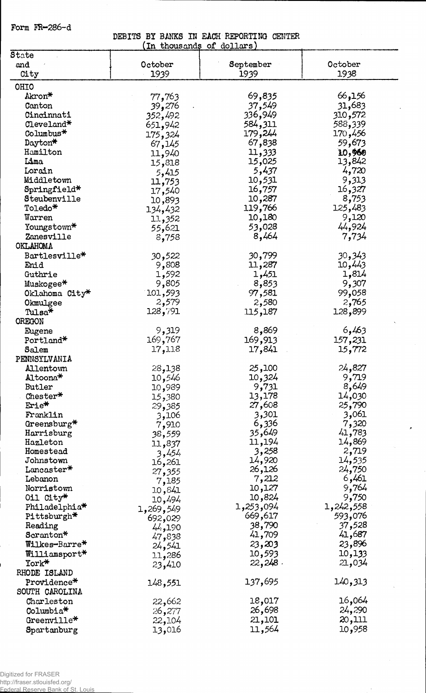Form FR-286-d

**DEBITS BY BANKS IN EACH REPORTING CENTER**

| In thousands of dollars)         |           |            |                 |
|----------------------------------|-----------|------------|-----------------|
| State                            |           |            |                 |
| and                              | October   | September  | October         |
| City                             | 1939      | 1939       | 1938            |
| <b>OHIO</b>                      |           |            |                 |
| Akron*                           | 77,763    | 69,835     | 66,156          |
| Canton                           | 39,276    | 37,549     | 31,683          |
| Cincinnati                       | 352,492   | 336,949    | 310,572         |
| Cleveland*                       | 651,942   | 584,311    | 588,339         |
| Columbus*                        |           | 179,244    | 170,456         |
| Dayton*                          | 175,324   | 67,838     | 59,673          |
| Hamilton                         | 67,145    | 11,333     | 10,960          |
| Lima                             | 11,940    | 15,025     | 13,842          |
| Lorain                           | 15,818    |            | 4,720           |
|                                  | 5,415     | 5,437      |                 |
| Middletown                       | 11,753    | 10,531     | 9,313           |
| Springfield*                     | 17,540    | 16,757     | 16,327          |
| Steubenville                     | 10,893    | 10,287     | 8,753           |
| Toledo*                          | 134,432   | 119,766    | 125,483         |
| Warren                           | 11,352    | 10,180     | 9,120           |
| Youngstown*                      | 55,621    | 53,028     | 44,924          |
| Zanesville                       | 8,758     | 8,464      | 7,734           |
| <b>OKLAHOMA</b>                  |           |            |                 |
| Bartlesville*                    | 522و30    | 30,799     | 30,343          |
| Enid                             | 9,808     | 11,287     | 10,443          |
| Guthrie                          | 1,592     | 1,451      | 1,814           |
| Muskogee*                        | 9,805     | 8,853      | 9,307           |
| Oklahoma City*                   | 101,593   | 97,581     | 99,058          |
| Okmulgee                         | 2,579     | 2,580      | 2,765           |
| Tulsa*                           | 128,791   | 115,187    | 128,899         |
| OREGON                           |           |            |                 |
| Eugene                           | 9,319     | 8,869      | 6,463           |
| Portland*                        | 169,767   | 169,913    | 157,231         |
| Salem                            | 17,118    | 17,841     | 15,772          |
| PENNSYLVANIA                     |           |            |                 |
| Allentown                        | 28,138    | 25,100     | 24,827          |
| Altoona*                         | 546, 10   | 10,324     | 9,719           |
| Butler                           | 10,989    | 9,731      | 8,649           |
| $\text{Chester}^*$               | 380, 15   | 13,178     | 14,030          |
| Erie*                            | 29,385    | 27,608     | 25,790          |
| Franklin                         | 3,106     | 3,301      | 3,061           |
| Greensburg <sup>*</sup>          |           | 6,336      | 7,320           |
| Harrisburg                       | 7,910     | 35,649     | 41,783          |
| Hazleton                         | 38,559    | 11,194     | 14,869          |
| Homestead                        | 11,837    | 3,258      | 2,719           |
| Johnstown                        | 3,454     | 14,920     | 14,535          |
| Lancaster*                       | 16,261    | 26,126     | 24 <b>,</b> 750 |
| Lebanon                          | 27,355    | 7,212      | 6,461           |
| Norristown                       | 7,185     | 10,127     | 9,764           |
|                                  | 10,841    | 10,824     | 9,750           |
| Oil City*                        | 10,494    |            |                 |
| Philadelphia <sup>*</sup>        | 1,269,549 | 1,253,094  | 1,242,558       |
| Pittsburgh*                      | 692,029   | 669,617    | 593,076         |
| Reading                          | 44,190    | 38,790     | 37,528          |
| Scranton*                        | 47,838    | 41,709     | 41,687          |
| Wilkes-Barre*                    | 24,541    | 23,203     | 23,896          |
| Williamsport*                    | 11,286    | 10,593     | 10,133          |
| York*                            | 23,410    | $22,248$ . | 21,034          |
| RHODE ISLAND                     |           |            |                 |
| Providence*                      | 148,551   | 137,695    | 140,313         |
| SOUTH CAROLINA                   |           |            |                 |
| Charleston                       | 22,662    | 18,017     | 16,064          |
| Columbia*                        | 26,277    | 26,698     | 24,290          |
| $0$ reenville $^{\textstyle{*}}$ | 22,104    | 21,101     | 20,111          |
| Spartanburg                      | 13,016    | 11,564     | 10,958          |